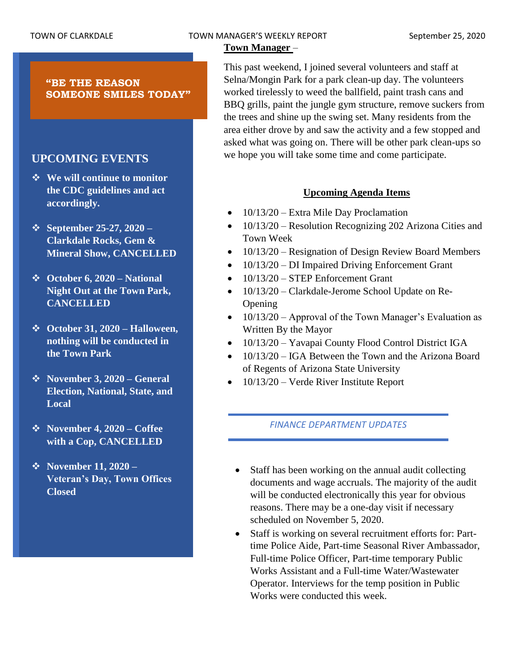# TOWN OF CLARKDALE TOWN MANAGER'S WEEKLY REPORT September 25, 2020

# **Town Manager** –

**"BE THE REASON SOMEONE SMILES TODAY"**

# **UPCOMING EVENTS**

- ❖ **We will continue to monitor the CDC guidelines and act accordingly.**
- ❖ **September 25-27, 2020 – Clarkdale Rocks, Gem & Mineral Show, CANCELLED**
- ❖ **October 6, 2020 – National Night Out at the Town Park, CANCELLED**
- ❖ **October 31, 2020 – Halloween, nothing will be conducted in the Town Park**
- ❖ **November 3, 2020 – General Election, National, State, and Local**
- ❖ **November 4, 2020 – Coffee with a Cop, CANCELLED**
- ❖ **November 11, 2020 – Veteran's Day, Town Offices Closed**

This past weekend, I joined several volunteers and staff at Selna/Mongin Park for a park clean-up day. The volunteers worked tirelessly to weed the ballfield, paint trash cans and BBQ grills, paint the jungle gym structure, remove suckers from the trees and shine up the swing set. Many residents from the area either drove by and saw the activity and a few stopped and asked what was going on. There will be other park clean-ups so we hope you will take some time and come participate.

# **Upcoming Agenda Items**

- 10/13/20 Extra Mile Day Proclamation
- 10/13/20 Resolution Recognizing 202 Arizona Cities and Town Week
- 10/13/20 Resignation of Design Review Board Members
- 10/13/20 DI Impaired Driving Enforcement Grant
- 10/13/20 STEP Enforcement Grant
- 10/13/20 Clarkdale-Jerome School Update on Re-Opening
- 10/13/20 Approval of the Town Manager's Evaluation as Written By the Mayor
- 10/13/20 Yavapai County Flood Control District IGA
- 10/13/20 IGA Between the Town and the Arizona Board of Regents of Arizona State University
- 10/13/20 Verde River Institute Report

## *FINANCE DEPARTMENT UPDATES*

- Staff has been working on the annual audit collecting documents and wage accruals. The majority of the audit will be conducted electronically this year for obvious reasons. There may be a one-day visit if necessary scheduled on November 5, 2020.
- Staff is working on several recruitment efforts for: Parttime Police Aide, Part-time Seasonal River Ambassador, Full-time Police Officer, Part-time temporary Public Works Assistant and a Full-time Water/Wastewater Operator. Interviews for the temp position in Public Works were conducted this week.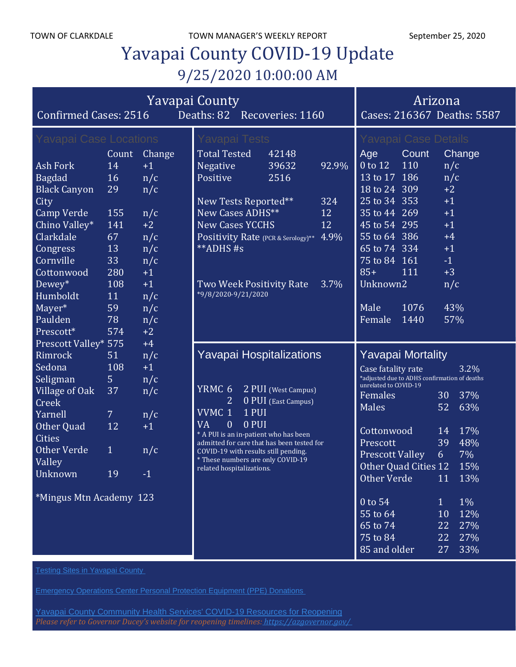# Yavapai County COVID-19 Update 9/25/2020 10:00:00 AM

| <b>Yavapai County</b><br>Deaths: 82 Recoveries: 1160<br><b>Confirmed Cases: 2516</b>                                                                                                                                                               |                                                                                                |                                                                                                               |                                                                                                                                                                                                                                                                                                                     |                                            |                                  | Cases: 216367 Deaths: 5587                                                                                                                                                                                                                                                                                   | Arizona                                                                                                                                                                |
|----------------------------------------------------------------------------------------------------------------------------------------------------------------------------------------------------------------------------------------------------|------------------------------------------------------------------------------------------------|---------------------------------------------------------------------------------------------------------------|---------------------------------------------------------------------------------------------------------------------------------------------------------------------------------------------------------------------------------------------------------------------------------------------------------------------|--------------------------------------------|----------------------------------|--------------------------------------------------------------------------------------------------------------------------------------------------------------------------------------------------------------------------------------------------------------------------------------------------------------|------------------------------------------------------------------------------------------------------------------------------------------------------------------------|
| <b>Yavapai Case Locations</b><br><b>Ash Fork</b><br><b>Bagdad</b><br><b>Black Canyon</b><br>City<br><b>Camp Verde</b><br>Chino Valley*<br>Clarkdale<br>Congress<br>Cornville<br>Cottonwood<br>Dewey*<br>Humboldt<br>Mayer*<br>Paulden<br>Prescott* | Count<br>14<br>16<br>29<br>155<br>141<br>67<br>13<br>33<br>280<br>108<br>11<br>59<br>78<br>574 | Change<br>$+1$<br>n/c<br>n/c<br>n/c<br>$+2$<br>n/c<br>n/c<br>n/c<br>$+1$<br>$+1$<br>n/c<br>n/c<br>n/c<br>$+2$ | Yavapai Tests<br><b>Total Tested</b><br><b>Negative</b><br>Positive<br>New Tests Reported**<br>New Cases ADHS**<br><b>New Cases YCCHS</b><br>Positivity Rate (PCR & Serology)** 4.9%<br>**ADHS#s<br>Two Week Positivity Rate<br>*9/8/2020-9/21/2020                                                                 | 42148<br>39632<br>2516                     | 92.9%<br>324<br>12<br>12<br>3.7% | <b>Yavapai Case Details</b><br>Count<br>Age<br>0 to 12<br>110<br>13 to 17 186<br>18 to 24 309<br>25 to 34 353<br>35 to 44 269<br>45 to 54 295<br>55 to 64 386<br>65 to 74 334<br>75 to 84 161<br>$85+$<br>111<br>Unknown <sub>2</sub><br>1076<br>Male<br>1440<br>Female                                      | Change<br>n/c<br>n/c<br>$+2$<br>$+1$<br>$+1$<br>$+1$<br>$+4$<br>$+1$<br>$-1$<br>$+3$<br>n/c<br>43%<br>57%                                                              |
| <b>Prescott Valley* 575</b><br>Rimrock<br>Sedona<br>Seligman<br><b>Village of Oak</b><br>Creek<br>Yarnell<br>Other Quad<br><b>Cities</b><br><b>Other Verde</b><br>Valley<br>Unknown<br>*Mingus Mtn Academy 123                                     | 51<br>108<br>5<br>37<br>$\overline{7}$<br>12<br>$\mathbf{1}$<br>19                             | $+4$<br>n/c<br>$+1$<br>n/c<br>n/c<br>n/c<br>$+1$<br>n/c<br>$-1$                                               | <b>Yavapai Hospitalizations</b><br>YRMC <sub>6</sub><br>2<br>VVMC 1<br>1 PUI<br><b>VA</b><br>$\mathbf{0}$<br>0 PUI<br>* A PUI is an in-patient who has been<br>admitted for care that has been tested for<br>COVID-19 with results still pending.<br>* These numbers are only COVID-19<br>related hospitalizations. | 2 PUI (West Campus)<br>0 PUI (East Campus) |                                  | <b>Yavapai Mortality</b><br>Case fatality rate<br>*adjusted due to ADHS confirmation of deaths<br>unrelated to COVID-19<br>Females<br><b>Males</b><br>Cottonwood<br>Prescott<br><b>Prescott Valley</b><br>Other Quad Cities 12<br>Other Verde<br>0 to 54<br>55 to 64<br>65 to 74<br>75 to 84<br>85 and older | 3.2%<br>37%<br>30<br>52<br>63%<br>17%<br>14<br>48%<br>39<br>7%<br>6<br>15%<br>13%<br>11<br>$1\%$<br>1<br>12%<br>10<br>27%<br>22<br>27%<br>22<br>33%<br>27 <sub>2</sub> |

**Testing Sites in [Yavapai](https://www.yavapai.us/Portals/39/COVID-19/TestingSitesinYavapaiCounty.pdf) County** 

Yavapai County [Community](https://www.yavapai.us/chs/COVID-19) Health Services' COVID-19 Resources for Reopening *Please refer to Governor Ducey's website for reopening timelines: <https://azgovernor.gov/>*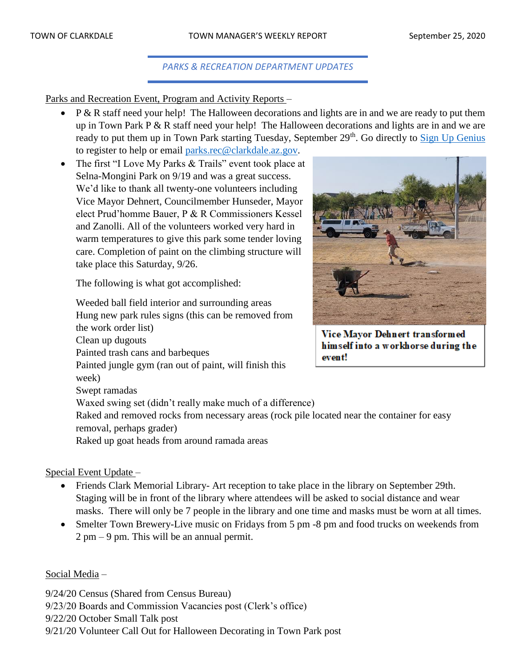# *PARKS & RECREATION DEPARTMENT UPDATES*

Parks and Recreation Event, Program and Activity Reports –

- P & R staff need your help! The Halloween decorations and lights are in and we are ready to put them up in Town Park P & R staff need your help! The Halloween decorations and lights are in and we are ready to put them up in Town Park starting Tuesday, September 29<sup>th</sup>. Go directly to **Sign Up Genius** to register to help or email [parks.rec@clarkdale.az.gov.](mailto:parks.rec@clarkdale.az.gov)
- The first "I Love My Parks & Trails" event took place at Selna-Mongini Park on 9/19 and was a great success. We'd like to thank all twenty-one volunteers including Vice Mayor Dehnert, Councilmember Hunseder, Mayor elect Prud'homme Bauer, P & R Commissioners Kessel and Zanolli. All of the volunteers worked very hard in warm temperatures to give this park some tender loving care. Completion of paint on the climbing structure will take place this Saturday, 9/26.

The following is what got accomplished:

Weeded ball field interior and surrounding areas Hung new park rules signs (this can be removed from the work order list) Clean up dugouts Painted trash cans and barbeques event! Painted jungle gym (ran out of paint, will finish this week) Swept ramadas Waxed swing set (didn't really make much of a difference) Raked and removed rocks from necessary areas (rock pile located near the container for easy removal, perhaps grader) Raked up goat heads from around ramada areas

## Special Event Update –

- Friends Clark Memorial Library- Art reception to take place in the library on September 29th. Staging will be in front of the library where attendees will be asked to social distance and wear masks. There will only be 7 people in the library and one time and masks must be worn at all times.
- Smelter Town Brewery-Live music on Fridays from 5 pm -8 pm and food trucks on weekends from 2 pm – 9 pm. This will be an annual permit.

## Social Media –

9/24/20 Census (Shared from Census Bureau) 9/23/20 Boards and Commission Vacancies post (Clerk's office) 9/22/20 October Small Talk post 9/21/20 Volunteer Call Out for Halloween Decorating in Town Park post



Vice Mayor Dehnert transformed himself into a workhorse during the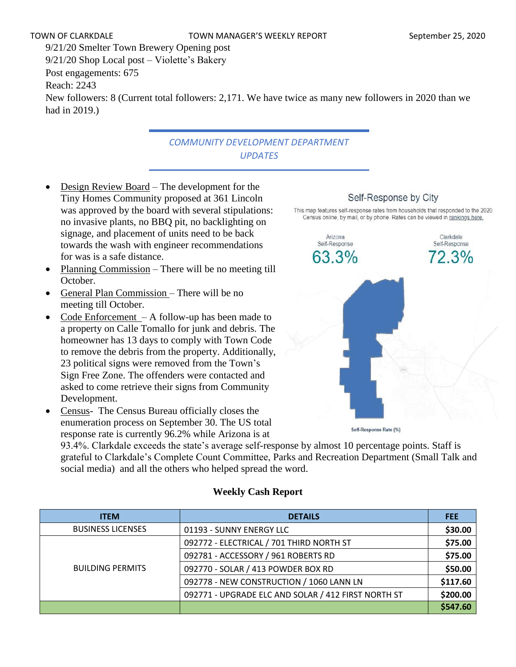9/21/20 Smelter Town Brewery Opening post 9/21/20 Shop Local post – Violette's Bakery Post engagements: 675 Reach: 2243 New followers: 8 (Current total followers: 2,171. We have twice as many new followers in 2020 than we had in 2019.)

# *COMMUNITY DEVELOPMENT DEPARTMENT UPDATES*

- Design Review Board The development for the Tiny Homes Community proposed at 361 Lincoln was approved by the board with several stipulations: no invasive plants, no BBQ pit, no backlighting on signage, and placement of units need to be back towards the wash with engineer recommendations for was is a safe distance.
- Planning Commission There will be no meeting till October.
- General Plan Commission There will be no meeting till October.
- Code Enforcement  $A$  follow-up has been made to a property on Calle Tomallo for junk and debris. The homeowner has 13 days to comply with Town Code to remove the debris from the property. Additionally, 23 political signs were removed from the Town's Sign Free Zone. The offenders were contacted and asked to come retrieve their signs from Community Development.
- Census- The Census Bureau officially closes the enumeration process on September 30. The US total response rate is currently 96.2% while Arizona is at

93.4%. Clarkdale exceeds the state's average self-response by almost 10 percentage points. Staff is grateful to Clarkdale's Complete Count Committee, Parks and Recreation Department (Small Talk and social media) and all the others who helped spread the word.

| <b>ITEM</b>              | <b>DETAILS</b>                                      | <b>FEE</b> |
|--------------------------|-----------------------------------------------------|------------|
| <b>BUSINESS LICENSES</b> | 01193 - SUNNY ENERGY LLC                            | \$30.00    |
|                          | 092772 - ELECTRICAL / 701 THIRD NORTH ST            | \$75.00    |
|                          | 092781 - ACCESSORY / 961 ROBERTS RD                 | \$75.00    |
| <b>BUILDING PERMITS</b>  | 092770 - SOLAR / 413 POWDER BOX RD                  | \$50.00    |
|                          | 092778 - NEW CONSTRUCTION / 1060 LANN LN            | \$117.60   |
|                          | 092771 - UPGRADE ELC AND SOLAR / 412 FIRST NORTH ST | \$200.00   |
|                          |                                                     | \$547.60   |

#### **Weekly Cash Report**

## Self-Response by City

This map features self-response rates from households that responded to the 2020 Census online, by mail, or by phone. Rates can be viewed in rankings here.

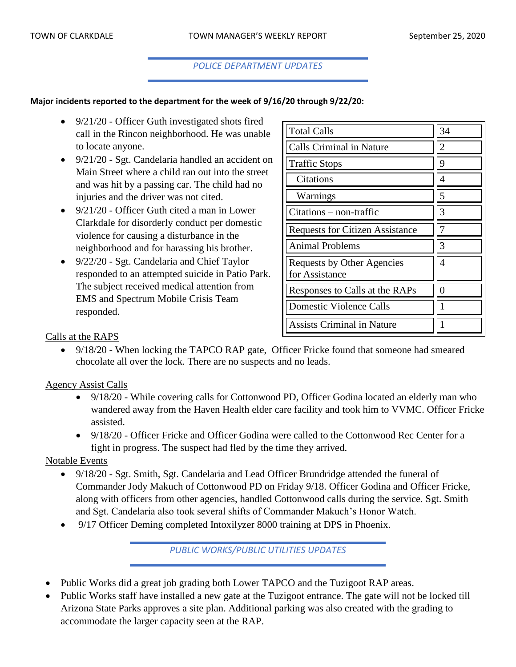#### *POLICE DEPARTMENT UPDATES*

#### **Major incidents reported to the department for the week of 9/16/20 through 9/22/20:**

- 9/21/20 Officer Guth investigated shots fired call in the Rincon neighborhood. He was unable to locate anyone.
- 9/21/20 Sgt. Candelaria handled an accident on Main Street where a child ran out into the street and was hit by a passing car. The child had no injuries and the driver was not cited.
- 9/21/20 Officer Guth cited a man in Lower Clarkdale for disorderly conduct per domestic violence for causing a disturbance in the neighborhood and for harassing his brother.
- 9/22/20 Sgt. Candelaria and Chief Taylor responded to an attempted suicide in Patio Park. The subject received medical attention from EMS and Spectrum Mobile Crisis Team responded.

| <b>Total Calls</b>                           | 34 |
|----------------------------------------------|----|
| <b>Calls Criminal in Nature</b>              | 2  |
| <b>Traffic Stops</b>                         | 9  |
| Citations                                    | 4  |
| Warnings                                     | 5  |
| $Citations - non-traffic$                    | 3  |
| <b>Requests for Citizen Assistance</b>       |    |
| Animal Problems                              | 3  |
| Requests by Other Agencies<br>for Assistance | 4  |
| Responses to Calls at the RAPs               |    |
| <b>Domestic Violence Calls</b>               |    |
| <b>Assists Criminal in Nature</b>            |    |

#### Calls at the RAPS

• 9/18/20 - When locking the TAPCO RAP gate, Officer Fricke found that someone had smeared chocolate all over the lock. There are no suspects and no leads.

#### Agency Assist Calls

- 9/18/20 While covering calls for Cottonwood PD, Officer Godina located an elderly man who wandered away from the Haven Health elder care facility and took him to VVMC. Officer Fricke assisted.
- 9/18/20 Officer Fricke and Officer Godina were called to the Cottonwood Rec Center for a fight in progress. The suspect had fled by the time they arrived.

#### Notable Events

- 9/18/20 Sgt. Smith, Sgt. Candelaria and Lead Officer Brundridge attended the funeral of Commander Jody Makuch of Cottonwood PD on Friday 9/18. Officer Godina and Officer Fricke, along with officers from other agencies, handled Cottonwood calls during the service. Sgt. Smith and Sgt. Candelaria also took several shifts of Commander Makuch's Honor Watch.
- 9/17 Officer Deming completed Intoxilyzer 8000 training at DPS in Phoenix.

*PUBLIC WORKS/PUBLIC UTILITIES UPDATES*

- Public Works did a great job grading both Lower TAPCO and the Tuzigoot RAP areas.
- Public Works staff have installed a new gate at the Tuzigoot entrance. The gate will not be locked till Arizona State Parks approves a site plan. Additional parking was also created with the grading to accommodate the larger capacity seen at the RAP.